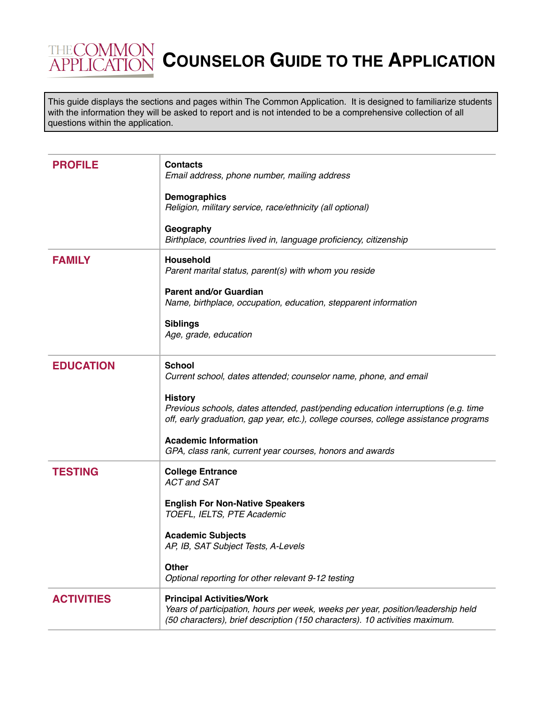## **THECOMMON COUNSELOR GUIDE TO THE APPLICATION**

This guide displays the sections and pages within The Common Application. It is designed to familiarize students with the information they will be asked to report and is not intended to be a comprehensive collection of all questions within the application.

| <b>PROFILE</b>    | <b>Contacts</b><br>Email address, phone number, mailing address<br><b>Demographics</b><br>Religion, military service, race/ethnicity (all optional)                                                                                                                                                                                                                         |
|-------------------|-----------------------------------------------------------------------------------------------------------------------------------------------------------------------------------------------------------------------------------------------------------------------------------------------------------------------------------------------------------------------------|
|                   | Geography<br>Birthplace, countries lived in, language proficiency, citizenship                                                                                                                                                                                                                                                                                              |
| <b>FAMILY</b>     | Household<br>Parent marital status, parent(s) with whom you reside<br><b>Parent and/or Guardian</b><br>Name, birthplace, occupation, education, stepparent information<br><b>Siblings</b><br>Age, grade, education                                                                                                                                                          |
|                   |                                                                                                                                                                                                                                                                                                                                                                             |
| <b>EDUCATION</b>  | <b>School</b><br>Current school, dates attended; counselor name, phone, and email<br><b>History</b><br>Previous schools, dates attended, past/pending education interruptions (e.g. time<br>off, early graduation, gap year, etc.), college courses, college assistance programs<br><b>Academic Information</b><br>GPA, class rank, current year courses, honors and awards |
| <b>TESTING</b>    | <b>College Entrance</b><br><b>ACT and SAT</b><br><b>English For Non-Native Speakers</b><br>TOEFL, IELTS, PTE Academic<br><b>Academic Subjects</b><br>AP, IB, SAT Subject Tests, A-Levels<br><b>Other</b><br>Optional reporting for other relevant 9-12 testing                                                                                                              |
| <b>ACTIVITIES</b> | <b>Principal Activities/Work</b><br>Years of participation, hours per week, weeks per year, position/leadership held<br>(50 characters), brief description (150 characters). 10 activities maximum.                                                                                                                                                                         |